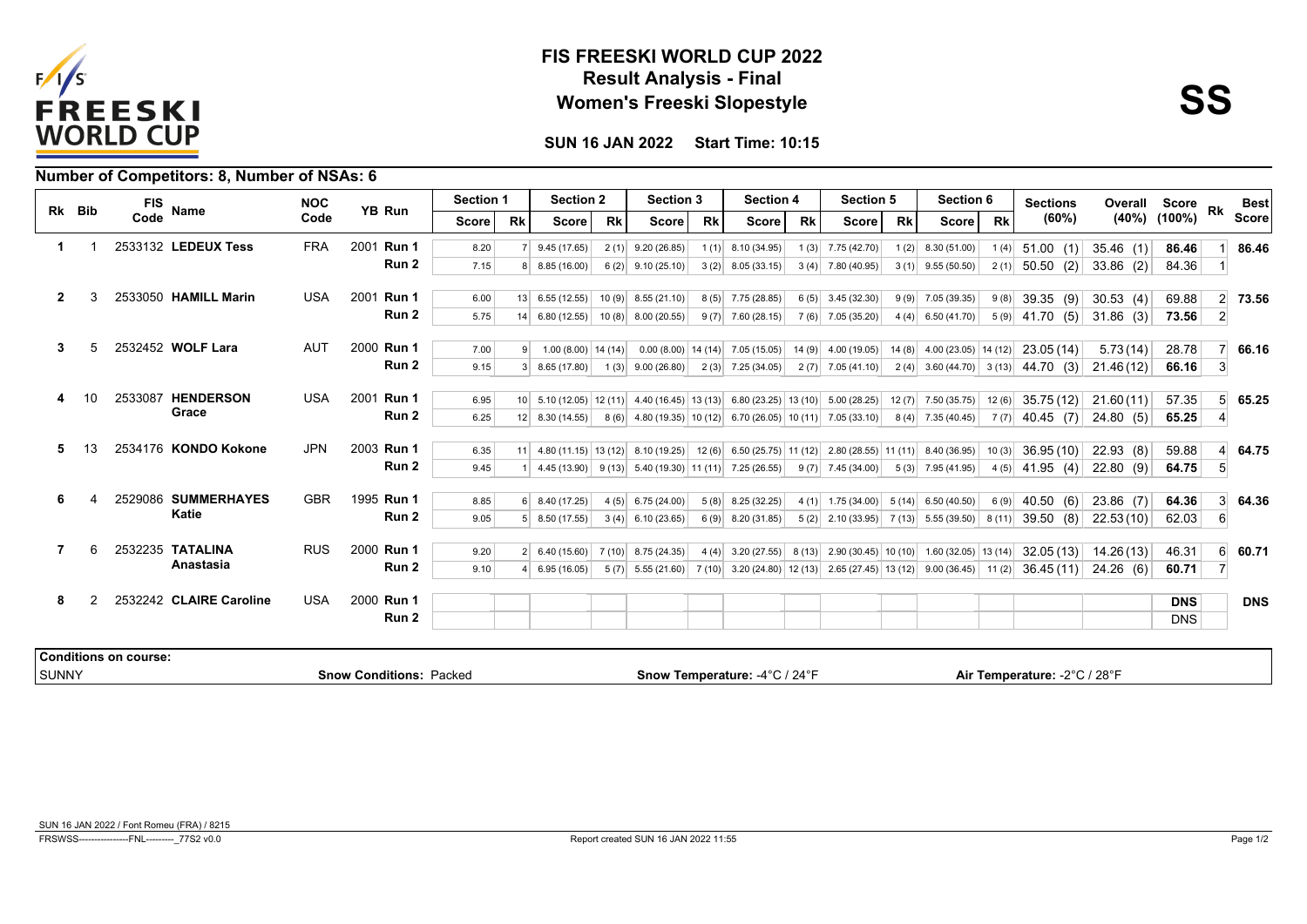

## **Result Analysis - Final FIS FREESKI WORLD CUP 2022 Women's Freeski Slopestyle**



**SUN 16 JAN 2022 Start Time: 10:15**

|  | Number of Competitors: 8, Number of NSAs: 6 |  |
|--|---------------------------------------------|--|
|--|---------------------------------------------|--|

| Rk Bib         | <b>FIS</b> | Name                         | <b>NOC</b>              | YB Run     | <b>Section 1</b>               |       | <b>Section 2</b> |                                                                                                                                                                      | <b>Section 3</b> |                                    | <b>Section 4</b> |                                   | <b>Section 5</b> |                                                         | Section 6 |                                            | <b>Sections</b> | Overall Score                                                                                       |             | <b>Rk</b>          | <b>Best</b>      |              |
|----------------|------------|------------------------------|-------------------------|------------|--------------------------------|-------|------------------|----------------------------------------------------------------------------------------------------------------------------------------------------------------------|------------------|------------------------------------|------------------|-----------------------------------|------------------|---------------------------------------------------------|-----------|--------------------------------------------|-----------------|-----------------------------------------------------------------------------------------------------|-------------|--------------------|------------------|--------------|
|                |            | Code                         |                         | Code       |                                | Score | <b>Rk</b>        | Score                                                                                                                                                                | <b>Rk</b>        | Score                              | <b>Rk</b>        | Score                             | <b>Rk</b>        | Score                                                   | <b>Rk</b> | <b>Score</b>                               | <b>Rk</b>       | (60%)                                                                                               |             | $(40\%)$ $(100\%)$ |                  | <b>Score</b> |
| 1.             |            |                              | 2533132 LEDEUX Tess     | <b>FRA</b> | 2001 Run 1                     | 8.20  |                  | 9.45(17.65)                                                                                                                                                          | 2(1)             | 9.20(26.85)                        | 1(1)             | 8.10 (34.95)                      |                  | $1(3)$ 7.75 (42.70)                                     | 1(2)      | 8.30 (51.00)                               | 1(4)            | 51.00(1)                                                                                            | 35.46(1)    | 86.46              |                  | 86.46        |
|                |            |                              |                         |            | Run 2                          | 7.15  | 8                | 8.85(16.00)                                                                                                                                                          | 6(2)             | 9.10(25.10)                        | 3(2)             | 8.05(33.15)                       | 3(4)             | 7.80 (40.95)                                            |           | $3(1)$ 9.55 (50.50)                        |                 | $2(1)$ 50.50 (2)                                                                                    | $33.86$ (2) | 84.36              |                  |              |
| $\overline{2}$ | 3          |                              | 2533050 HAMILL Marin    | <b>USA</b> | 2001 Run 1                     | 6.00  | 13               | 6.55(12.55)                                                                                                                                                          | 10(9)            | 8.55(21.10)                        | 8(5)             | 7.75 (28.85)                      | 6(5)             | 3.45 (32.30)                                            |           | $9(9)$ 7.05 (39.35)                        | 9(8)            | 39.35(9)                                                                                            | 30.53 $(4)$ | 69.88              |                  | 2 73.56      |
|                |            |                              |                         |            | Run 2                          | 5.75  |                  | $14 \mid 6.80(12.55) \mid$                                                                                                                                           | 10(8)            | 8.00 (20.55)                       |                  | $9(7)$ 7.60 (28.15)               |                  | $7(6)$ 7.05 (35.20)                                     |           | $4(4)$ 6.50 (41.70)                        |                 | $5(9)$ 41.70 (5)                                                                                    | $31.86$ (3) | 73.56              | $\mathbf{2}$     |              |
|                |            |                              |                         |            |                                |       |                  |                                                                                                                                                                      |                  |                                    |                  |                                   |                  |                                                         |           |                                            |                 |                                                                                                     |             |                    |                  |              |
| 3              | 5          |                              | 2532452 WOLF Lara       | AUT        | 2000 Run 1                     | 7.00  | 9 <sup>1</sup>   | $1.00(8.00)$ 14 (14)                                                                                                                                                 |                  |                                    |                  | $0.00(8.00)$ 14 (14) 7.05 (15.05) |                  | $14(9)$ 4.00 (19.05)                                    |           | $14(8)$ 4.00 (23.05) 14 (12)               |                 | 23.05 (14)                                                                                          | 5.73(14)    | 28.78              |                  | 66.16        |
|                |            |                              |                         |            | Run 2                          | 9.15  |                  | $3 \mid 8.65(17.80) \mid$                                                                                                                                            | 1(3)             | 9.00(26.80)                        |                  | $2(3)$ 7.25 (34.05)               |                  | $2(7)$ 7.05 (41.10)                                     |           |                                            |                 | $2(4)$ 3.60 (44.70) 3 (13) 44.70 (3)                                                                | 21.46(12)   | 66.16              | 3                |              |
| 4              |            |                              | 2533087 HENDERSON       | <b>USA</b> | 2001 Run 1                     | 6.95  |                  | $10\begin{pmatrix} 5.10 & (12.05) & 12 & (11) & 4.40 & (16.45) & 13 & (13) & 6.80 & (23.25) & 13 & (10) & 5.00 & (28.25) \end{pmatrix}$                              |                  |                                    |                  |                                   |                  |                                                         |           | $12(7)$ 7.50 (35.75)                       |                 | $12(6)$ 35.75 (12)                                                                                  | 21.60(11)   | 57.35              |                  | 65.25        |
|                |            |                              | Grace                   |            | Run 2                          | 6.25  |                  | $12 \mid 8.30(14.55) \mid$                                                                                                                                           | 8(6)             |                                    |                  |                                   |                  | $4.80(19.35)$ 10 (12) 6.70 (26.05) 10 (11) 7.05 (33.10) |           | $8(4)$ 7.35 (40.45)                        |                 | $7(7)$ 40.45 (7)                                                                                    | 24.80(5)    | 65.25              |                  |              |
| 5.             |            |                              | 2534176 KONDO Kokone    | <b>JPN</b> | 2003 Run 1                     | 6.35  |                  | $11 \begin{pmatrix} 4.80 & (11.15) & 13 & (12) & 8.10 & (19.25) & 12 & (6) & 6.50 & (25.75) & 11 & (12) & 2.80 & (28.55) & 11 & (11) & 8.40 & (36.95) \end{pmatrix}$ |                  |                                    |                  |                                   |                  |                                                         |           |                                            | 10(3)           | 36.95(10)                                                                                           | 22.93(8)    | 59.88              |                  | 64.75        |
|                |            |                              |                         |            | Run 2                          | 9.45  |                  | $4.45(13.90)$ 9(13)                                                                                                                                                  |                  | $5.40(19.30)$ 11 (11) 7.25 (26.55) |                  |                                   |                  | $9(7)$ 7.45 (34.00)                                     |           | $5(3)$ 7.95 (41.95)                        |                 | $4(5)$ 41.95 (4)                                                                                    | 22.80(9)    | 64.75              | $\sqrt{5}$       |              |
|                |            |                              |                         |            |                                |       |                  |                                                                                                                                                                      |                  |                                    |                  |                                   |                  |                                                         |           |                                            |                 |                                                                                                     |             |                    |                  |              |
| 6              |            |                              | 2529086 SUMMERHAYES     | <b>GBR</b> | 1995 Run 1                     | 8.85  |                  | $6$ 8.40 (17.25)                                                                                                                                                     | 4(5)             | 6.75(24.00)                        | 5(8)             | 8.25 (32.25)                      |                  | 4 (1) 1.75 (34.00) 5 (14) 6.50 (40.50)                  |           |                                            | 6(9)            | 40.50<br>(6)                                                                                        | $23.86$ (7) | 64.36              | $\mathbf{3}$     | 64.36        |
|                |            |                              | Katie                   |            | Run 2                          | 9.05  |                  | $5$ 8.50 (17.55)                                                                                                                                                     | 3(4)             | 6.10 (23.65)                       | 6(9)             | 8.20 (31.85)                      |                  | $5(2)$ 2.10 (33.95)                                     |           | $7(13)$ 5.55 (39.50)                       | 8(11)           | 39.50<br>(8)                                                                                        | 22.53(10)   | 62.03              | $6 \overline{6}$ |              |
|                | 6          |                              | 2532235 TATALINA        | <b>RUS</b> | 2000 Run 1                     | 9.20  |                  | $2 \mid 6.40(15.60)$                                                                                                                                                 | 7(10)            | 8.75 (24.35)                       |                  | $4(4)$ 3.20 (27.55) 8 (13)        |                  |                                                         |           | $2.90(30.45)$ 10 (10) 1.60 (32.05) 13 (14) |                 | 32.05(13)                                                                                           | 14.26 (13)  | 46.31              | $6 \overline{6}$ | 60.71        |
|                |            |                              | Anastasia               |            | Run 2                          | 9.10  |                  | $4 \mid 6.95(16.05)$                                                                                                                                                 |                  |                                    |                  |                                   |                  |                                                         |           |                                            |                 | $5(7)$ 5.55 (21.60) 7 (10) 3.20 (24.80) 12 (13) 2.65 (27.45) 13 (12) 9.00 (36.45) 11 (2) 36.45 (11) | 24.26(6)    | 60.71              |                  |              |
| 8              | 2          |                              | 2532242 CLAIRE Caroline | <b>USA</b> | 2000 Run 1                     |       |                  |                                                                                                                                                                      |                  |                                    |                  |                                   |                  |                                                         |           |                                            |                 |                                                                                                     |             | <b>DNS</b>         |                  | <b>DNS</b>   |
|                |            |                              |                         |            | Run 2                          |       |                  |                                                                                                                                                                      |                  |                                    |                  |                                   |                  |                                                         |           |                                            |                 |                                                                                                     |             | <b>DNS</b>         |                  |              |
|                |            |                              |                         |            |                                |       |                  |                                                                                                                                                                      |                  |                                    |                  |                                   |                  |                                                         |           |                                            |                 |                                                                                                     |             |                    |                  |              |
|                |            | <b>Conditions on course:</b> |                         |            |                                |       |                  |                                                                                                                                                                      |                  |                                    |                  |                                   |                  |                                                         |           |                                            |                 |                                                                                                     |             |                    |                  |              |
| <b>SUNNY</b>   |            |                              |                         |            | <b>Snow Conditions: Packed</b> |       |                  |                                                                                                                                                                      |                  |                                    |                  | Snow Temperature: -4°C / 24°F     |                  |                                                         |           |                                            |                 | Air Temperature: -2°C / 28°F                                                                        |             |                    |                  |              |